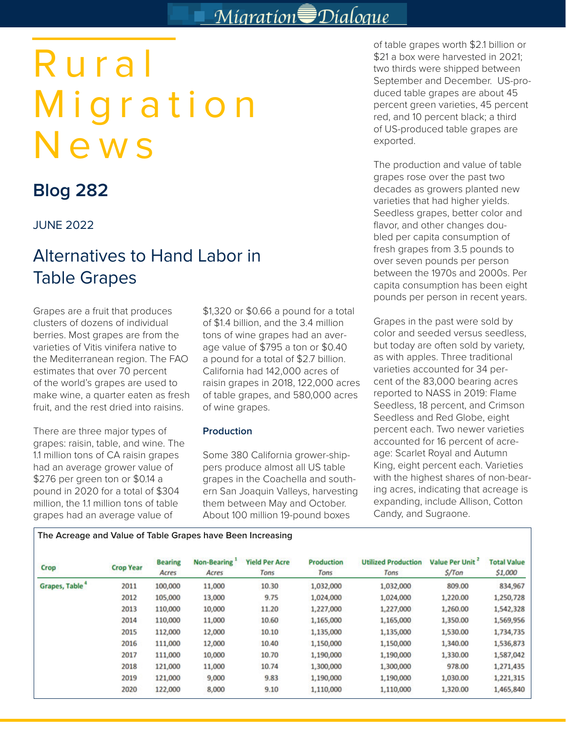## Migration Dialogue

# Rural Migration News

## **Blog 282**

### JUNE 2022

## Alternatives to Hand Labor in Table Grapes

Grapes are a fruit that produces clusters of dozens of individual berries. Most grapes are from the varieties of Vitis vinifera native to the Mediterranean region. The FAO estimates that over 70 percent of the world's grapes are used to make wine, a quarter eaten as fresh fruit, and the rest dried into raisins.

There are three major types of grapes: raisin, table, and wine. The 1.1 million tons of CA raisin grapes had an average grower value of \$276 per green ton or \$0.14 a pound in 2020 for a total of \$304 million, the 1.1 million tons of table grapes had an average value of

**The Acreage and Value of Table Grapes have Been Increasing**

\$1,320 or \$0.66 a pound for a total of \$1.4 billion, and the 3.4 million tons of wine grapes had an average value of \$795 a ton or \$0.40 a pound for a total of \$2.7 billion. California had 142,000 acres of raisin grapes in 2018, 122,000 acres of table grapes, and 580,000 acres of wine grapes.

#### **Production**

Some 380 California grower-shippers produce almost all US table grapes in the Coachella and southern San Joaquin Valleys, harvesting them between May and October. About 100 million 19-pound boxes

of table grapes worth \$2.1 billion or \$21 a box were harvested in 2021; two thirds were shipped between September and December. US-produced table grapes are about 45 percent green varieties, 45 percent red, and 10 percent black; a third of US-produced table grapes are exported.

The production and value of table grapes rose over the past two decades as growers planted new varieties that had higher yields. Seedless grapes, better color and flavor, and other changes doubled per capita consumption of fresh grapes from 3.5 pounds to over seven pounds per person between the 1970s and 2000s. Per capita consumption has been eight pounds per person in recent years.

Grapes in the past were sold by color and seeded versus seedless, but today are often sold by variety, as with apples. Three traditional varieties accounted for 34 percent of the 83,000 bearing acres reported to NASS in 2019: Flame Seedless, 18 percent, and Crimson Seedless and Red Globe, eight percent each. Two newer varieties accounted for 16 percent of acreage: Scarlet Royal and Autumn King, eight percent each. Varieties with the highest shares of non-bearing acres, indicating that acreage is expanding, include Allison, Cotton Candy, and Sugraone.

| Crop                       | <b>Crop Year</b> | <b>Bearing</b><br>Acres | <b>Non-Bearing</b><br>Acres | <b>Yield Per Acre</b><br>Tons | <b>Production</b><br>Tons | <b>Utilized Production</b><br>Tons | Value Per Unit<br>$S/T$ on | <b>Total Value</b><br>\$1,000 |
|----------------------------|------------------|-------------------------|-----------------------------|-------------------------------|---------------------------|------------------------------------|----------------------------|-------------------------------|
| Grapes, Table <sup>*</sup> | 2011             | 100,000                 | 11,000                      | 10.30                         | 1,032,000                 | 1,032,000                          | 809.00                     | 834,967                       |
|                            | 2012             | 105,000                 | 13,000                      | 9.75                          | 1,024,000                 | 1,024,000                          | 1,220.00                   | 1,250,728                     |
|                            | 2013             | 110,000                 | 10,000                      | 11.20                         | 1,227,000                 | 1,227,000                          | 1,260.00                   | 1,542,328                     |
|                            | 2014             | 110,000                 | 11,000                      | 10.60                         | 1,165,000                 | 1,165,000                          | 1,350.00                   | 1,569,956                     |
|                            | 2015             | 112,000                 | 12,000                      | 10.10                         | 1,135,000                 | 1,135,000                          | 1,530.00                   | 1,734,735                     |
|                            | 2016             | 111,000                 | 12,000                      | 10.40                         | 1,150,000                 | 1,150,000                          | 1,340.00                   | 1,536,873                     |
|                            | 2017             | 111,000                 | 10,000                      | 10.70                         | 1,190,000                 | 1,190,000                          | 1,330.00                   | 1,587,042                     |
|                            | 2018             | 121,000                 | 11,000                      | 10.74                         | 1,300,000                 | 1,300,000                          | 978.00                     | 1,271,435                     |
|                            | 2019             | 121,000                 | 9,000                       | 9.83                          | 1,190,000                 | 1,190,000                          | 1,030.00                   | 1,221,315                     |
|                            | 2020             | 122,000                 | 8,000                       | 9.10                          | 1,110,000                 | 1,110,000                          | 1,320.00                   | 1,465,840                     |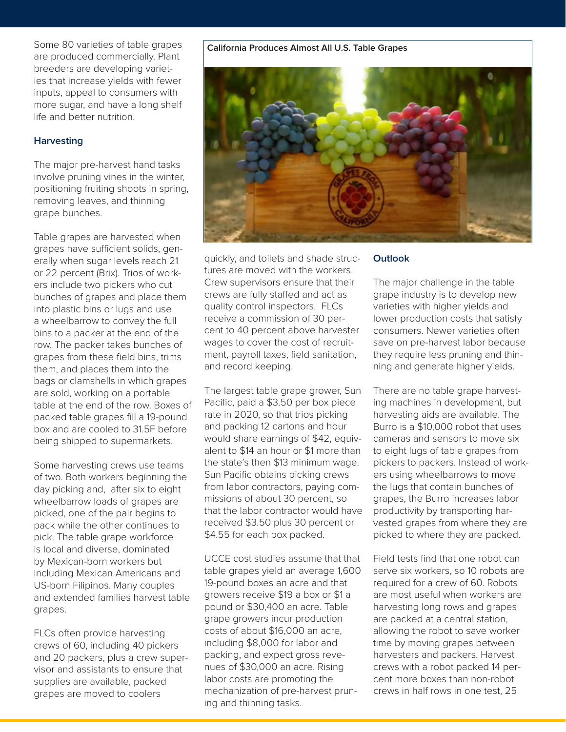Some 80 varieties of table grapes are produced commercially. Plant breeders are developing varieties that increase yields with fewer inputs, appeal to consumers with more sugar, and have a long shelf life and better nutrition.

#### **Harvesting**

The major pre-harvest hand tasks involve pruning vines in the winter, positioning fruiting shoots in spring, removing leaves, and thinning grape bunches.

Table grapes are harvested when grapes have sufficient solids, generally when sugar levels reach 21 or 22 percent (Brix). Trios of workers include two pickers who cut bunches of grapes and place them into plastic bins or lugs and use a wheelbarrow to convey the full bins to a packer at the end of the row. The packer takes bunches of grapes from these field bins, trims them, and places them into the bags or clamshells in which grapes are sold, working on a portable table at the end of the row. Boxes of packed table grapes fill a 19-pound box and are cooled to 31.5F before being shipped to supermarkets.

Some harvesting crews use teams of two. Both workers beginning the day picking and, after six to eight wheelbarrow loads of grapes are picked, one of the pair begins to pack while the other continues to pick. The table grape workforce is local and diverse, dominated by Mexican-born workers but including Mexican Americans and US-born Filipinos. Many couples and extended families harvest table grapes.

FLCs often provide harvesting crews of 60, including 40 pickers and 20 packers, plus a crew supervisor and assistants to ensure that supplies are available, packed grapes are moved to coolers

#### **California Produces Almost All U.S. Table Grapes**



quickly, and toilets and shade structures are moved with the workers. Crew supervisors ensure that their crews are fully staffed and act as quality control inspectors. FLCs receive a commission of 30 percent to 40 percent above harvester wages to cover the cost of recruitment, payroll taxes, field sanitation, and record keeping.

The largest table grape grower, Sun Pacific, paid a \$3.50 per box piece rate in 2020, so that trios picking and packing 12 cartons and hour would share earnings of \$42, equivalent to \$14 an hour or \$1 more than the state's then \$13 minimum wage. Sun Pacific obtains picking crews from labor contractors, paying commissions of about 30 percent, so that the labor contractor would have received \$3.50 plus 30 percent or \$4.55 for each box packed.

UCCE cost studies assume that that table grapes yield an average 1,600 19-pound boxes an acre and that growers receive \$19 a box or \$1 a pound or \$30,400 an acre. Table grape growers incur production costs of about \$16,000 an acre, including \$8,000 for labor and packing, and expect gross revenues of \$30,000 an acre. Rising labor costs are promoting the mechanization of pre-harvest pruning and thinning tasks.

#### **Outlook**

The major challenge in the table grape industry is to develop new varieties with higher yields and lower production costs that satisfy consumers. Newer varieties often save on pre-harvest labor because they require less pruning and thinning and generate higher yields.

There are no table grape harvesting machines in development, but harvesting aids are available. The Burro is a \$10,000 robot that uses cameras and sensors to move six to eight lugs of table grapes from pickers to packers. Instead of workers using wheelbarrows to move the lugs that contain bunches of grapes, the Burro increases labor productivity by transporting harvested grapes from where they are picked to where they are packed.

Field tests find that one robot can serve six workers, so 10 robots are required for a crew of 60. Robots are most useful when workers are harvesting long rows and grapes are packed at a central station, allowing the robot to save worker time by moving grapes between harvesters and packers. Harvest crews with a robot packed 14 percent more boxes than non-robot crews in half rows in one test, 25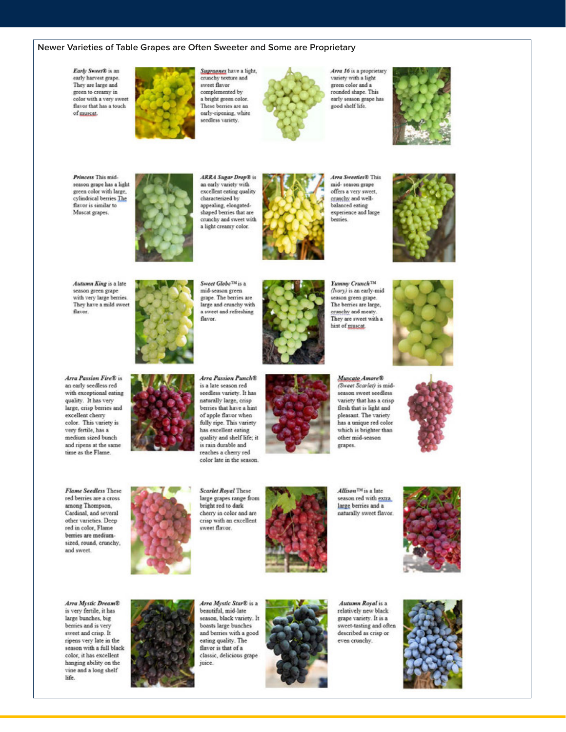#### Newer Varieties of Table Grapes are Often Sweeter and Some are Proprietary

Early Sweet® is an early harvest grape. They are large and green to creamy in color with a very sweet flavor that has a touch of muscat.



Sugraones have a light, crunchy texture and sweet flavor complemented by a bright green color. These berries are an early-ripening, white seedless variety.



Arra 16 is a proprietary variety with a light green color and a rounded shape. This early season grape has good shelf life.



Princess This mid. season grape has a light green color with large, cylindrical berries The flavor is similar to Muscat grapes.



**ARRA** Sugar Drop® is an early variety with excellent eating quality characterized by appealing, elongatedshaped berries that are crunchy and sweet with a light creamy color.



**Area Superior® This** mid- season grape offers a very sweet. crunchy and wellbalanced eating experience and large berries.



Autumn King is a late season green grape with very large berries. They have a mild sweet flavor.



Sweet Globe<sup>TM</sup> is a mid-season green grape. The berries are large and crunchy with a sweet and refreshing flavor.



**Yummy CrunchTM** (Ivory) is an early-mid season green grape. The berries are large, crunchy and meaty They are sweet with a hint of muscat.



Arra Passion Fire® is an early seedless red with exceptional eating quality. It has very large, crisp berries and excellent cherry color. This variety is very fertile, has a medium sized bunch and ripens at the same time as the Flame.



Arra Passion Punch® is a late season red seedless variety. It has naturally large, crisp berries that have a hint of apple flavor when fully ripe. This variety has excellent eating quality and shelf life; it is rain durable and reaches a cherry red color late in the season.



Muscato Amore® (Sweet Scarlet) is midseason sweet seedless variety that has a crisp flesh that is light and pleasant. The variety has a unique red color which is brighter than other mid-season grapes.





Scarlet Royal These large grapes range from bright red to dark cherry in color and are crisp with an excellent sweet flavor.



Allison<sup>TM</sup> is a late season red with extra large berries and a naturally sweet flavor.



Arra Mystic Dream® is very fertile, it has large bunches, big berries and is very sweet and crisp. It ripens very late in the season with a full black color, it has excellent hanging ability on the vine and a long shelf life.



Arra Mystic Star® is a beautiful, mid-late season, black variety. It boasts large bunches and berries with a good eating quality. The flavor is that of a classic, delicious grape juice.



Autumn Royal is a relatively new black grape variety. It is a sweet-tasting and often described as crisp or even crunchy.



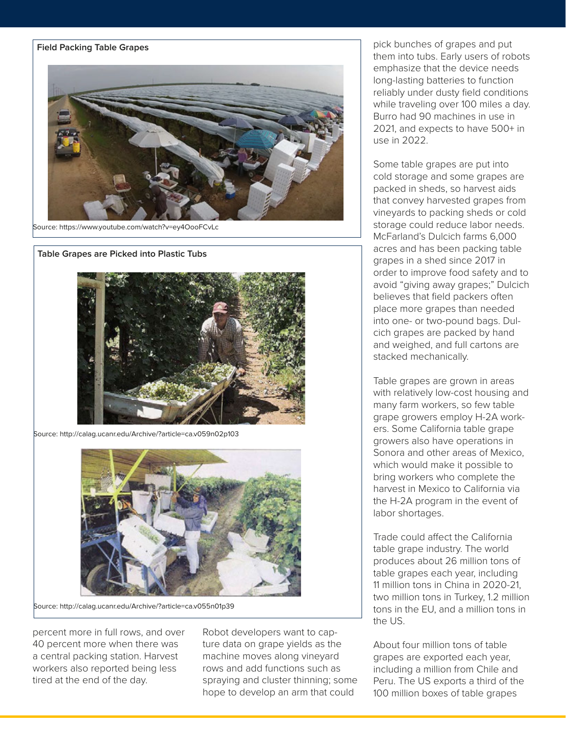

Source: https://www.youtube.com/watch?v=ey4OooFCvLc

**Table Grapes are Picked into Plastic Tubs** 



Source: http://calag.ucanr.edu/Archive/?article=ca.v059n02p103



Source: http://calag.ucanr.edu/Archive/?article=ca.v055n01p39

percent more in full rows, and over 40 percent more when there was a central packing station. Harvest workers also reported being less tired at the end of the day.

Robot developers want to capture data on grape yields as the machine moves along vineyard rows and add functions such as spraying and cluster thinning; some hope to develop an arm that could

pick bunches of grapes and put them into tubs. Early users of robots emphasize that the device needs long-lasting batteries to function reliably under dusty field conditions while traveling over 100 miles a day. Burro had 90 machines in use in 2021, and expects to have 500+ in use in 2022.

Some table grapes are put into cold storage and some grapes are packed in sheds, so harvest aids that convey harvested grapes from vineyards to packing sheds or cold storage could reduce labor needs. McFarland's Dulcich farms 6,000 acres and has been packing table grapes in a shed since 2017 in order to improve food safety and to avoid "giving away grapes;" Dulcich believes that field packers often place more grapes than needed into one- or two-pound bags. Dulcich grapes are packed by hand and weighed, and full cartons are stacked mechanically.

Table grapes are grown in areas with relatively low-cost housing and many farm workers, so few table grape growers employ H-2A workers. Some California table grape growers also have operations in Sonora and other areas of Mexico, which would make it possible to bring workers who complete the harvest in Mexico to California via the H-2A program in the event of labor shortages.

Trade could affect the California table grape industry. The world produces about 26 million tons of table grapes each year, including 11 million tons in China in 2020-21, two million tons in Turkey, 1.2 million tons in the EU, and a million tons in the US.

About four million tons of table grapes are exported each year, including a million from Chile and Peru. The US exports a third of the 100 million boxes of table grapes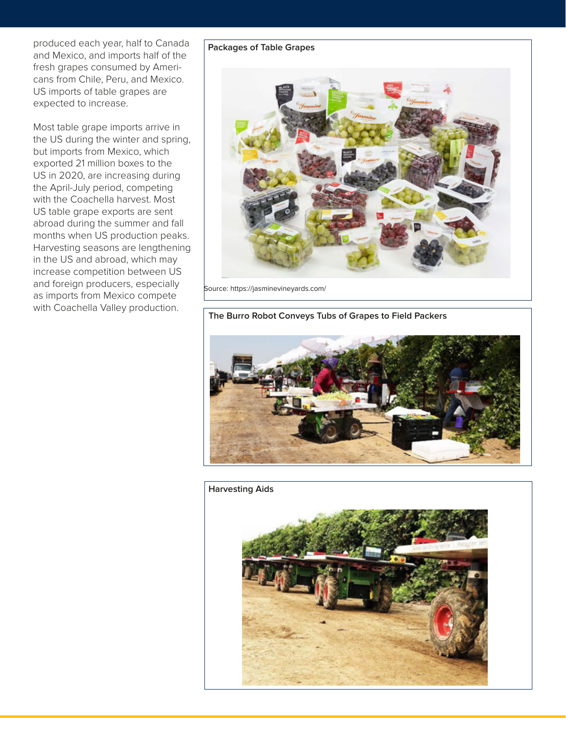produced each year, half to Canada and Mexico, and imports half of the fresh grapes consumed by Americans from Chile, Peru, and Mexico. US imports of table grapes are expected to increase.

Most table grape imports arrive in the US during the winter and spring, but imports from Mexico, which exported 21 million boxes to the US in 2020, are increasing during the April-July period, competing with the Coachella harvest. Most US table grape exports are sent abroad during the summer and fall months when US production peaks. Harvesting seasons are lengthening in the US and abroad, which may increase competition between US and foreign producers, especially as imports from Mexico compete with Coachella Valley production.

#### **Packages of Table Grapes**



Source: https://jasminevineyards.com/

**The Burro Robot Conveys Tubs of Grapes to Field Packers**